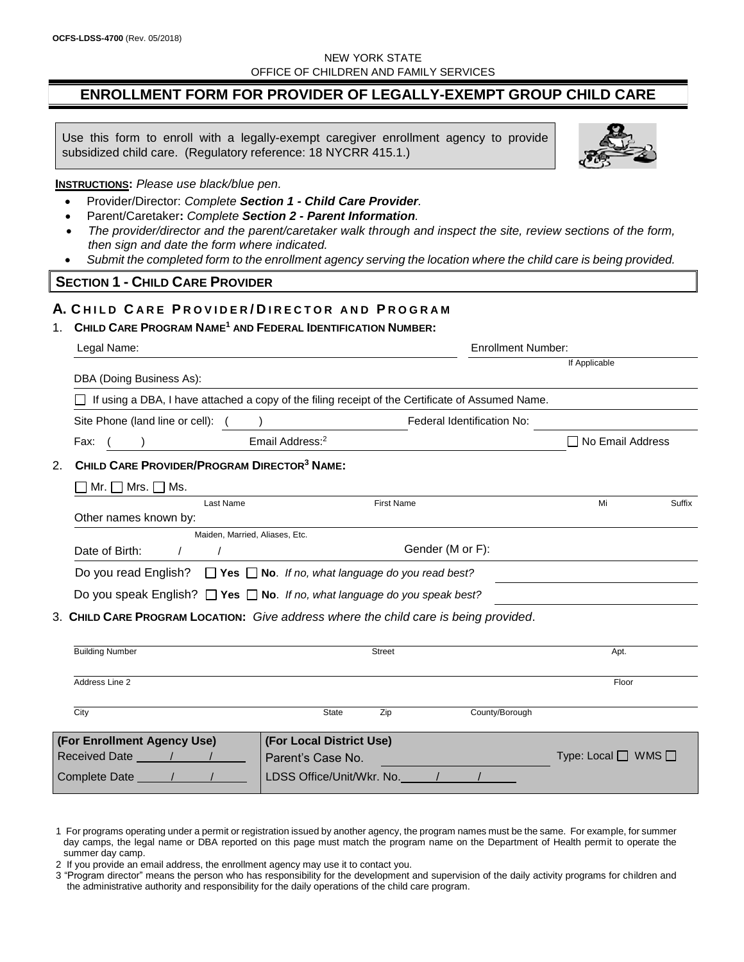## NEW YORK STATE OFFICE OF CHILDREN AND FAMILY SERVICES

# **ENROLLMENT FORM FOR PROVIDER OF LEGALLY-EXEMPT GROUP CHILD CARE**

Use this form to enroll with a legally-exempt caregiver enrollment agency to provide subsidized child care. (Regulatory reference: 18 NYCRR 415.1.)

**INSTRUCTIONS:** *Please use black/blue pen.*

- Provider/Director: *Complete Section 1 - Child Care Provider.*
- Parent/Caretaker**:** *Complete Section 2 - Parent Information.*
- *The provider/director and the parent/caretaker walk through and inspect the site, review sections of the form, then sign and date the form where indicated.*
- *Submit the completed form to the enrollment agency serving the location where the child care is being provided.*

### **SECTION 1 - CHILD CARE PROVIDER**

# **A. C H I L D C A R E P R O V I D E R / D I R E C T O R A N D P R O G R A M**

# 1. **CHILD CARE PROGRAM NAME<sup>1</sup> AND FEDERAL IDENTIFICATION NUMBER:**

| Legal Name:                                                                                      | <b>Enrollment Number:</b>         |  |
|--------------------------------------------------------------------------------------------------|-----------------------------------|--|
| DBA (Doing Business As):                                                                         | If Applicable                     |  |
|                                                                                                  |                                   |  |
| If using a DBA, I have attached a copy of the filing receipt of the Certificate of Assumed Name. |                                   |  |
| Site Phone (land line or cell): (                                                                | Federal Identification No:        |  |
| Email Address: <sup>2</sup><br>Fax:                                                              | □ No Email Address                |  |
| CHILD CARE PROVIDER/PROGRAM DIRECTOR <sup>3</sup> NAME:<br>2.                                    |                                   |  |
| Mr. $\Box$ Mrs. $\Box$ Ms.                                                                       |                                   |  |
| Last Name                                                                                        | <b>First Name</b><br>Mi<br>Suffix |  |
| Other names known by:                                                                            |                                   |  |
| Maiden, Married, Aliases, Etc.                                                                   |                                   |  |
| Date of Birth:<br>$\prime$                                                                       | Gender (M or F):                  |  |
| Do you read English? $\Box$ Yes $\Box$ No. If no, what language do you read best?                |                                   |  |
| Do you speak English? $\Box$ Yes $\Box$ No. If no, what language do you speak best?              |                                   |  |
| 3. CHILD CARE PROGRAM LOCATION: Give address where the child care is being provided.             |                                   |  |
|                                                                                                  |                                   |  |
| <b>Building Number</b>                                                                           | <b>Street</b><br>Apt.             |  |
|                                                                                                  |                                   |  |
| Address Line 2                                                                                   | Floor                             |  |
| City<br><b>State</b>                                                                             | County/Borough<br>Zip             |  |
| (For Enrollment Agency Use)<br>(For Local District Use)                                          |                                   |  |
| Received Date 11/1/1<br>Parent's Case No.                                                        | Type: Local $\Box$ WMS $\Box$     |  |
| Complete Date 11<br>LDSS Office/Unit/Wkr. No.                                                    |                                   |  |

2 If you provide an email address, the enrollment agency may use it to contact you.



<sup>1</sup> For programs operating under a permit or registration issued by another agency, the program names must be the same. For example, for summer day camps, the legal name or DBA reported on this page must match the program name on the Department of Health permit to operate the summer day camp.

<sup>3</sup> "Program director" means the person who has responsibility for the development and supervision of the daily activity programs for children and the administrative authority and responsibility for the daily operations of the child care program.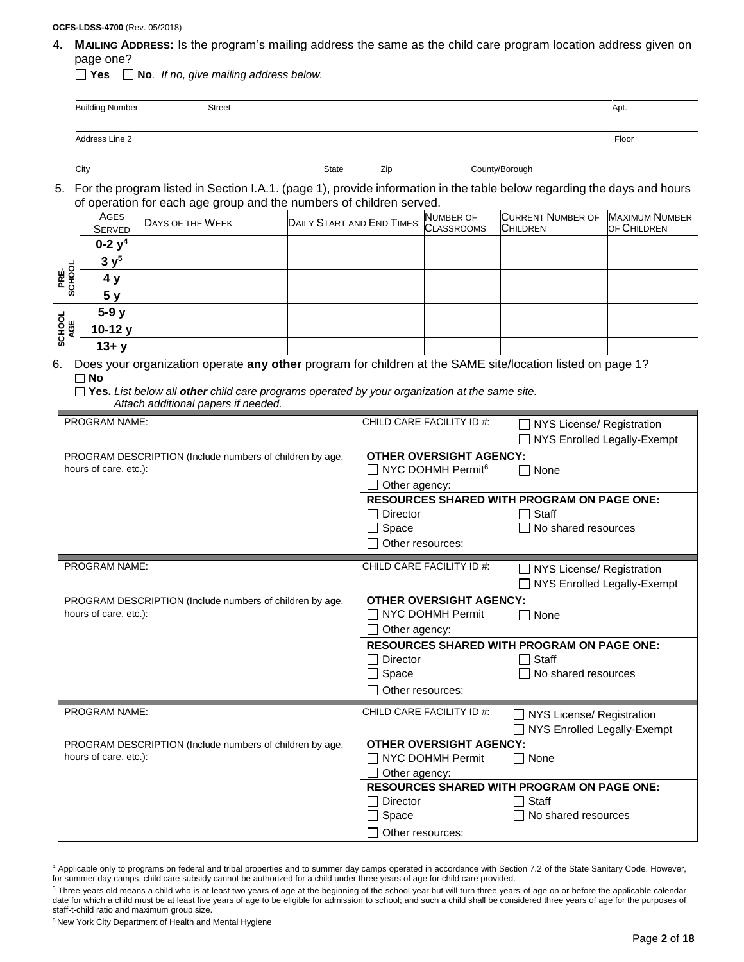#### **OCFS-LDSS-4700** (Rev. 05/2018)

4. **MAILING ADDRESS:** Is the program's mailing address the same as the child care program location address given on page one?

**Yes No***. If no, give mailing address below.*

| <b>Building Number</b> | <b>Street</b> | Apt.  |
|------------------------|---------------|-------|
| Address Line 2         |               | Floor |

City **State Zip County/Borough** County/Borough

5. For the program listed in Section I.A.1. (page 1), provide information in the table below regarding the days and hours of operation for each age group and the numbers of children served.

|                | AGES<br><b>SERVED</b> | DAYS OF THE WEEK | <b>DAILY START AND END TIMES NUMBER OF</b> | <b>CURRENT NUMBER OF</b><br><b>CHILDREN</b> | <b>MAXIMUM NUMBER</b><br>OF CHILDREN |
|----------------|-----------------------|------------------|--------------------------------------------|---------------------------------------------|--------------------------------------|
|                | 0-2 $y^4$             |                  |                                            |                                             |                                      |
|                | $3 \mathrm{v}^5$      |                  |                                            |                                             |                                      |
| PRE-<br>SCHOOL | 4 v                   |                  |                                            |                                             |                                      |
|                | 5 <sub>y</sub>        |                  |                                            |                                             |                                      |
|                | $5-9y$                |                  |                                            |                                             |                                      |
| SCHOOL<br>AGE  | $10-12y$              |                  |                                            |                                             |                                      |
|                | $13 + y$              |                  |                                            |                                             |                                      |

6. Does your organization operate **any other** program for children at the SAME site/location listed on page 1? **No**

**Yes.** *List below all other child care programs operated by your organization at the same site. Attach additional papers if needed.*

| PROGRAM NAME:                                                                     | CHILD CARE FACILITY ID #:                                                                                         | NYS License/ Registration<br>NYS Enrolled Legally-Exempt                          |  |
|-----------------------------------------------------------------------------------|-------------------------------------------------------------------------------------------------------------------|-----------------------------------------------------------------------------------|--|
| PROGRAM DESCRIPTION (Include numbers of children by age,<br>hours of care, etc.): | <b>OTHER OVERSIGHT AGENCY:</b><br>$\Box$ NYC DOHMH Permit <sup>6</sup><br>None<br>$\blacksquare$<br>Other agency: |                                                                                   |  |
|                                                                                   | <b>□</b> Director<br>$\Box$ Space                                                                                 | <b>RESOURCES SHARED WITH PROGRAM ON PAGE ONE:</b><br>Staff<br>No shared resources |  |
|                                                                                   | Other resources:                                                                                                  |                                                                                   |  |
| PROGRAM NAME:                                                                     | CHILD CARE FACILITY ID #:                                                                                         | NYS License/ Registration<br>NYS Enrolled Legally-Exempt                          |  |
| PROGRAM DESCRIPTION (Include numbers of children by age,<br>hours of care, etc.): | <b>OTHER OVERSIGHT AGENCY:</b><br>□ NYC DOHMH Permit<br>Other agency:                                             | None<br>$\blacksquare$                                                            |  |
|                                                                                   |                                                                                                                   | <b>RESOURCES SHARED WITH PROGRAM ON PAGE ONE:</b>                                 |  |
|                                                                                   | $\Box$ Director<br>$\Box$ Space                                                                                   | Staff<br>No shared resources                                                      |  |
|                                                                                   | $\Box$ Other resources:                                                                                           |                                                                                   |  |
| PROGRAM NAME:                                                                     | CHILD CARE FACILITY ID #:                                                                                         | NYS License/ Registration<br>NYS Enrolled Legally-Exempt                          |  |
| PROGRAM DESCRIPTION (Include numbers of children by age,<br>hours of care, etc.): | <b>OTHER OVERSIGHT AGENCY:</b><br>□ NYC DOHMH Permit<br>Other agency:                                             | $\Box$ None                                                                       |  |
|                                                                                   |                                                                                                                   | <b>RESOURCES SHARED WITH PROGRAM ON PAGE ONE:</b>                                 |  |
|                                                                                   | □ Director<br>$\Box$ Space                                                                                        | Staff<br>No shared resources                                                      |  |
|                                                                                   | □ Other resources:                                                                                                |                                                                                   |  |

<sup>6</sup> New York City Department of Health and Mental Hygiene

<sup>4</sup> Applicable only to programs on federal and tribal properties and to summer day camps operated in accordance with Section 7.2 of the State Sanitary Code. However, for summer day camps, child care subsidy cannot be authorized for a child under three years of age for child care provided.

<sup>&</sup>lt;sup>5</sup> Three years old means a child who is at least two years of age at the beginning of the school year but will turn three years of age on or before the applicable calendar date for which a child must be at least five years of age to be eligible for admission to school; and such a child shall be considered three years of age for the purposes of staff-t-child ratio and maximum group size.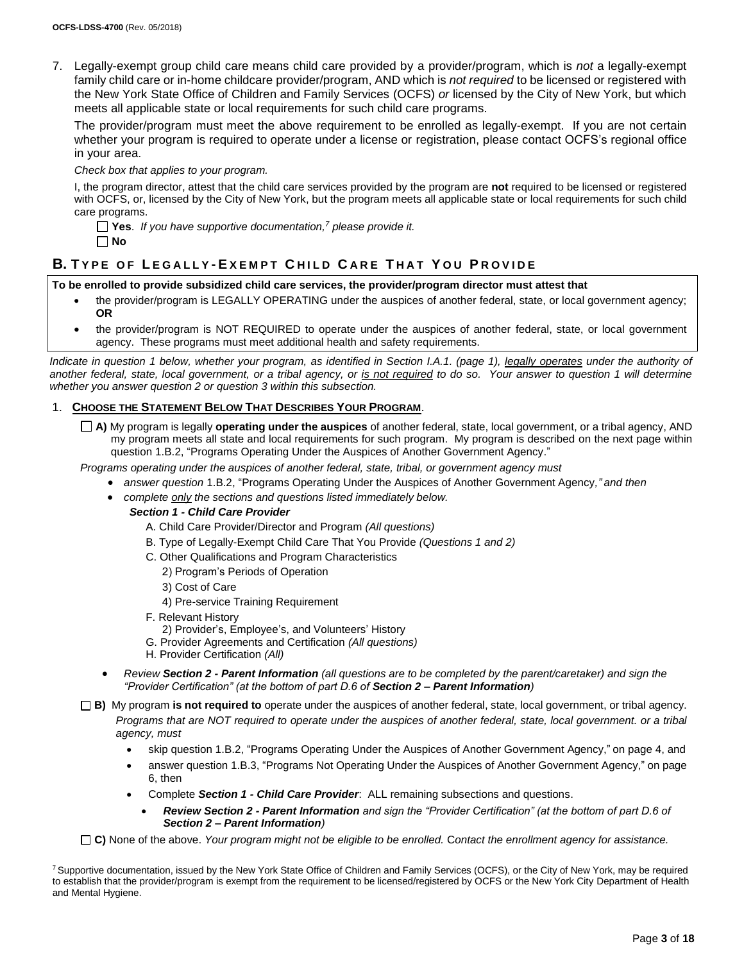7. Legally-exempt group child care means child care provided by a provider/program, which is *not* a legally-exempt family child care or in-home childcare provider/program, AND which is *not required* to be licensed or registered with the New York State Office of Children and Family Services (OCFS) *or* licensed by the City of New York, but which meets all applicable state or local requirements for such child care programs.

The provider/program must meet the above requirement to be enrolled as legally-exempt. If you are not certain whether your program is required to operate under a license or registration, please contact OCFS's regional office in your area.

*Check box that applies to your program.*

I, the program director, attest that the child care services provided by the program are **not** required to be licensed or registered with OCFS, or, licensed by the City of New York, but the program meets all applicable state or local requirements for such child care programs.

**Yes**. *If you have supportive documentation, <sup>7</sup> please provide it.* **No**

# **B. T Y P E O F L E G A L L Y - E X E M P T C H I L D C A R E T H A T Y O U P R O V I D E**

### **To be enrolled to provide subsidized child care services, the provider/program director must attest that**

- the provider/program is LEGALLY OPERATING under the auspices of another federal, state, or local government agency; **OR**
- the provider/program is NOT REQUIRED to operate under the auspices of another federal, state, or local government agency. These programs must meet additional health and safety requirements.

*Indicate in question 1 below, whether your program, as identified in Section I.A.1. (page 1), legally operates under the authority of another federal, state, local government, or a tribal agency, or is not required to do so. Your answer to question 1 will determine whether you answer question 2 or question 3 within this subsection.*

## 1. **CHOOSE THE STATEMENT BELOW THAT DESCRIBES YOUR PROGRAM**.

**A)** My program is legally **operating under the auspices** of another federal, state, local government, or a tribal agency, AND my program meets all state and local requirements for such program. My program is described on the next page within question 1.B.2, "Programs Operating Under the Auspices of Another Government Agency."

*Programs operating under the auspices of another federal, state, tribal, or government agency must*

- *answer question* 1.B.2, "Programs Operating Under the Auspices of Another Government Agency*," and then*
- *complete only the sections and questions listed immediately below.*

#### *Section 1 - Child Care Provider*

- A. Child Care Provider/Director and Program *(All questions)*
- B. Type of Legally-Exempt Child Care That You Provide *(Questions 1 and 2)*
- C. Other Qualifications and Program Characteristics
	- 2) Program's Periods of Operation
	- 3) Cost of Care
	- 4) Pre-service Training Requirement
- F. Relevant History
- 2) Provider's, Employee's, and Volunteers' History
- G. Provider Agreements and Certification *(All questions)*
- H. Provider Certification *(All)*
- *Review Section 2 - Parent Information (all questions are to be completed by the parent/caretaker) and sign the "Provider Certification" (at the bottom of part D.6 of Section 2 – Parent Information)*
- **B)** My program **is not required to** operate under the auspices of another federal, state, local government, or tribal agency. *Programs that are NOT required to operate under the auspices of another federal, state, local government. or a tribal agency, must*
	- skip question 1.B.2, "Programs Operating Under the Auspices of Another Government Agency," on page 4, and
	- answer question 1.B.3, "Programs Not Operating Under the Auspices of Another Government Agency," on page 6, then
	- Complete *Section 1 - Child Care Provider*: ALL remaining subsections and questions.
		- *Review Section 2 - Parent Information and sign the "Provider Certification" (at the bottom of part D.6 of Section 2 – Parent Information)*

**C)** None of the above. *Your program might not be eligible to be enrolled.* C*ontact the enrollment agency for assistance.*

<sup>&</sup>lt;sup>7</sup> Supportive documentation, issued by the New York State Office of Children and Family Services (OCFS), or the City of New York, may be required to establish that the provider/program is exempt from the requirement to be licensed/registered by OCFS or the New York City Department of Health and Mental Hygiene.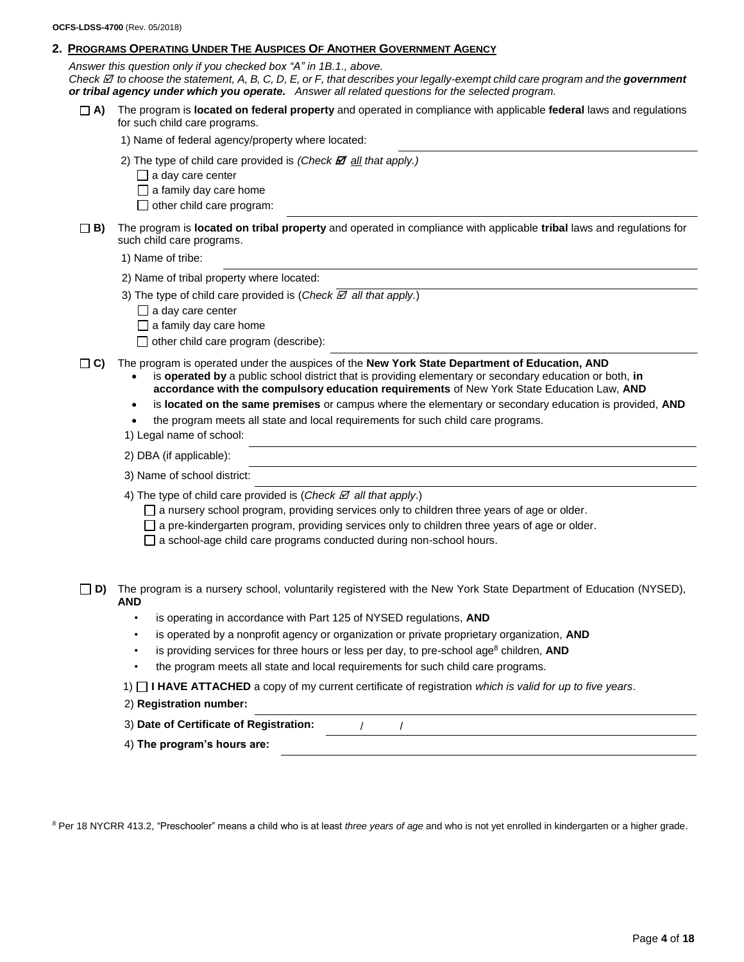#### **2. PROGRAMS OPERATING UNDER THE AUSPICES OF ANOTHER GOVERNMENT AGENCY**

*Answer this question only if you checked box "A" in 1B.1., above. Check to choose the statement, A, B, C, D, E, or F, that describes your legally-exempt child care program and the government or tribal agency under which you operate.**Answer all related questions for the selected program.*

**A)** The program is **located on federal property** and operated in compliance with applicable **federal** laws and regulations for such child care programs.

1) Name of federal agency/property where located:

- 2) The type of child care provided is  $(Check \times 2)$  all that apply.)
	- $\Box$  a day care center
	- $\Box$  a family day care home
	- $\Box$  other child care program:
- **B)** The program is **located on tribal property** and operated in compliance with applicable **tribal** laws and regulations for such child care programs.

1) Name of tribe:

2) Name of tribal property where located:

3) The type of child care provided is (*Check*  $\mathbb Z$  *all that apply.*)

- $\Box$  a day care center
- $\Box$  a family day care home

 $\Box$  other child care program (describe):

**C)** The program is operated under the auspices of the **New York State Department of Education, AND**

- is **operated by** a public school district that is providing elementary or secondary education or both, **in accordance with the compulsory education requirements** of New York State Education Law, **AND**
- is **located on the same premises** or campus where the elementary or secondary education is provided, **AND**
- the program meets all state and local requirements for such child care programs.
- 1) Legal name of school:
- 2) DBA (if applicable):
- 3) Name of school district:
- 4) The type of child care provided is (*Check*  $\boxtimes$  *all that apply*.)
	- $\Box$  a nursery school program, providing services only to children three years of age or older.
	- $\Box$  a pre-kindergarten program, providing services only to children three years of age or older.
	- $\Box$  a school-age child care programs conducted during non-school hours.

**D)** The program is a nursery school, voluntarily registered with the New York State Department of Education (NYSED), **AND**

- is operating in accordance with Part 125 of NYSED regulations, **AND**
- is operated by a nonprofit agency or organization or private proprietary organization, **AND**
- is providing services for three hours or less per day, to pre-school age<sup>8</sup> children, **AND**
- the program meets all state and local requirements for such child care programs.
- 1) **I HAVE ATTACHED** a copy of my current certificate of registration *which is valid for up to five years*.
- 2) **Registration number:**
- 3) **Date of Certificate of Registration:** / /
- 4) **The program's hours are:**

<sup>8</sup> Per 18 NYCRR 413.2, "Preschooler" means a child who is at least *three years of age* and who is not yet enrolled in kindergarten or a higher grade.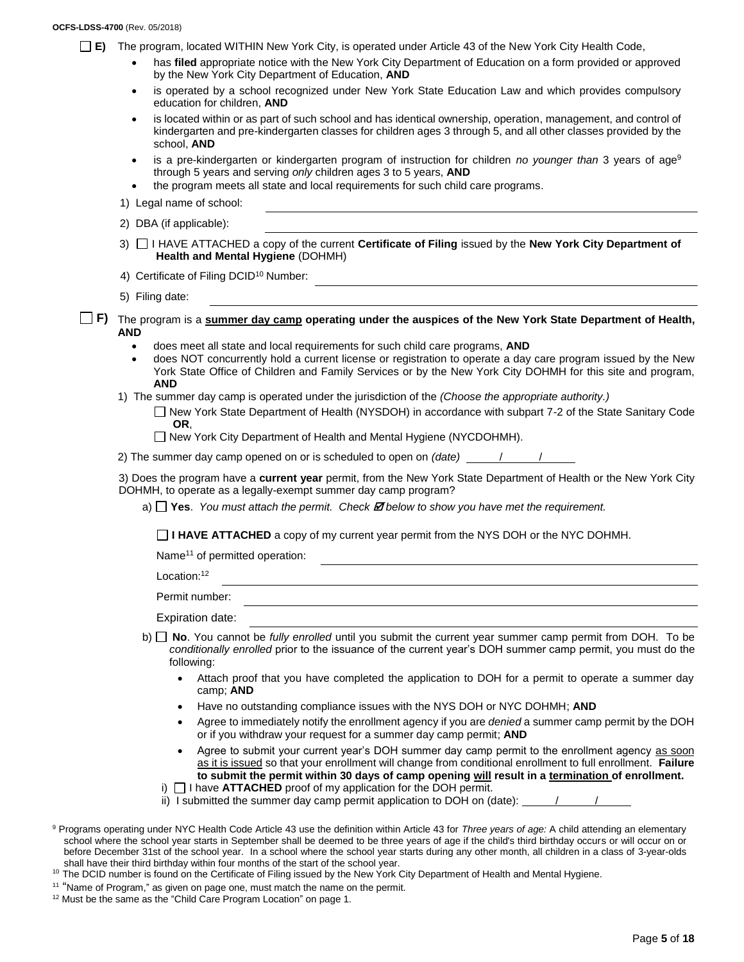#### **OCFS-LDSS-4700** (Rev. 05/2018)

- **E)** The program, located WITHIN New York City, is operated under Article 43 of the New York City Health Code,
	- has **filed** appropriate notice with the New York City Department of Education on a form provided or approved by the New York City Department of Education, **AND**
	- is operated by a school recognized under New York State Education Law and which provides compulsory education for children, **AND**
	- is located within or as part of such school and has identical ownership, operation, management, and control of kindergarten and pre-kindergarten classes for children ages 3 through 5, and all other classes provided by the school, **AND**
	- is a pre-kindergarten or kindergarten program of instruction for children *no younger than* 3 years of age<sup>9</sup> through 5 years and serving *only* children ages 3 to 5 years, **AND**
	- the program meets all state and local requirements for such child care programs.
	- 1) Legal name of school:
	- 2) DBA (if applicable):
	- 3) I HAVE ATTACHED a copy of the current **Certificate of Filing** issued by the **New York City Department of Health and Mental Hygiene** (DOHMH)
	- 4) Certificate of Filing DCID<sup>10</sup> Number:
	- 5) Filing date:
- **F)** The program is a **summer day camp operating under the auspices of the New York State Department of Health, AND**
	- does meet all state and local requirements for such child care programs, **AND**
	- does NOT concurrently hold a current license or registration to operate a day care program issued by the New York State Office of Children and Family Services or by the New York City DOHMH for this site and program, **AND**
	- 1) The summer day camp is operated under the jurisdiction of the *(Choose the appropriate authority.)*
		- New York State Department of Health (NYSDOH) in accordance with subpart 7-2 of the State Sanitary Code **OR**,
		- □ New York City Department of Health and Mental Hygiene (NYCDOHMH).
	- 2) The summer day camp opened on or is scheduled to open on *(date)* / /

3) Does the program have a **current year** permit, from the New York State Department of Health or the New York City DOHMH, to operate as a legally-exempt summer day camp program?

a)  $\Box$  **Yes**. *You must attach the permit. Check*  $\Box$  *below to show you have met the requirement.* 

**I HAVE ATTACHED** a copy of my current year permit from the NYS DOH or the NYC DOHMH.

Name<sup>11</sup> of permitted operation:

Location:<sup>12</sup>

Permit number:

Expiration date:

- b) **No**. You cannot be *fully enrolled* until you submit the current year summer camp permit from DOH. To be *conditionally enrolled* prior to the issuance of the current year's DOH summer camp permit, you must do the following:
	- Attach proof that you have completed the application to DOH for a permit to operate a summer day camp; **AND**
	- Have no outstanding compliance issues with the NYS DOH or NYC DOHMH; **AND**
	- Agree to immediately notify the enrollment agency if you are *denied* a summer camp permit by the DOH or if you withdraw your request for a summer day camp permit; **AND**
	- Agree to submit your current year's DOH summer day camp permit to the enrollment agency as soon as it is issued so that your enrollment will change from conditional enrollment to full enrollment. **Failure to submit the permit within 30 days of camp opening will result in a termination of enrollment.**
	- i)  $\Box$  I have **ATTACHED** proof of my application for the DOH permit.
	- ii) I submitted the summer day camp permit application to DOH on (date):  $\frac{1}{\sqrt{1-\frac{1}{1-\frac{1}{2}}}$

- <sup>10</sup> The DCID number is found on the Certificate of Filing issued by the New York City Department of Health and Mental Hygiene.
- <sup>11</sup> "Name of Program," as given on page one, must match the name on the permit.
- <sup>12</sup> Must be the same as the "Child Care Program Location" on page 1.

<sup>9</sup> Programs operating under NYC Health Code Article 43 use the definition within Article 43 for *Three years of age:* A child attending an elementary school where the school year starts in September shall be deemed to be three years of age if the child's third birthday occurs or will occur on or before December 31st of the school year. In a school where the school year starts during any other month, all children in a class of 3-year-olds shall have their third birthday within four months of the start of the school year.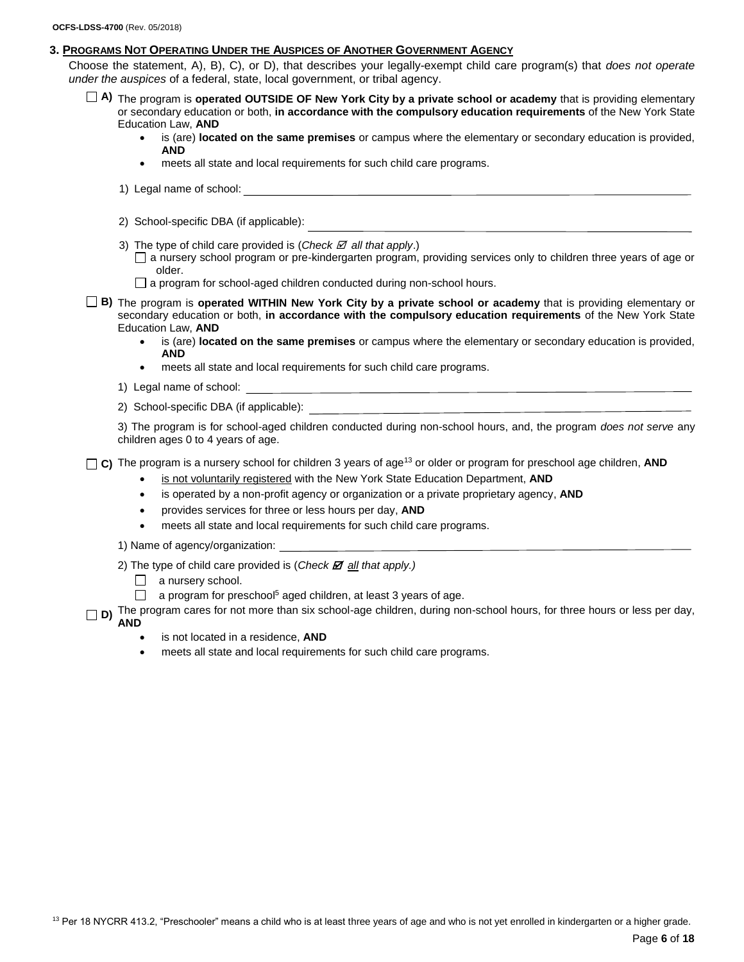#### **3. PROGRAMS NOT OPERATING UNDER THE AUSPICES OF ANOTHER GOVERNMENT AGENCY**

Choose the statement, A), B), C), or D), that describes your legally-exempt child care program(s) that *does not operate under the auspices* of a federal, state, local government, or tribal agency.

- **A)** The program is **operated OUTSIDE OF New York City by a private school or academy** that is providing elementary or secondary education or both, **in accordance with the compulsory education requirements** of the New York State Education Law, **AND**
	- is (are) **located on the same premises** or campus where the elementary or secondary education is provided, **AND**
	- meets all state and local requirements for such child care programs.
	- 1) Legal name of school:
	- 2) School-specific DBA (if applicable):
	- 3) The type of child care provided is (*Check*  $\mathbb Z$  *all that apply*.)

a nursery school program or pre-kindergarten program, providing services only to children three years of age or older.

- $\Box$  a program for school-aged children conducted during non-school hours.
- **B)** The program is **operated WITHIN New York City by a private school or academy** that is providing elementary or secondary education or both, **in accordance with the compulsory education requirements** of the New York State Education Law, **AND**
	- is (are) **located on the same premises** or campus where the elementary or secondary education is provided, **AND**
	- meets all state and local requirements for such child care programs.
	- 1) Legal name of school:
	- 2) School-specific DBA (if applicable):

3) The program is for school-aged children conducted during non-school hours, and, the program *does not serve* any children ages 0 to 4 years of age.

 $\Box$  C) The program is a nursery school for children 3 years of age<sup>13</sup> or older or program for preschool age children, AND

- is not voluntarily registered with the New York State Education Department, **AND**
- is operated by a non-profit agency or organization or a private proprietary agency, **AND**
- provides services for three or less hours per day, **AND**
- meets all state and local requirements for such child care programs.
- 1) Name of agency/organization:
- 2) The type of child care provided is (*Check*  $\overline{Z}$  *all that apply.)* 
	- a nursery school.
	- $\Box$  a program for preschool<sup>5</sup> aged children, at least 3 years of age.
- **D)** The program cares for not more than six school-age children, during non-school hours, for three hours or less per day, **AND** 
	- is not located in a residence, **AND**
	- meets all state and local requirements for such child care programs.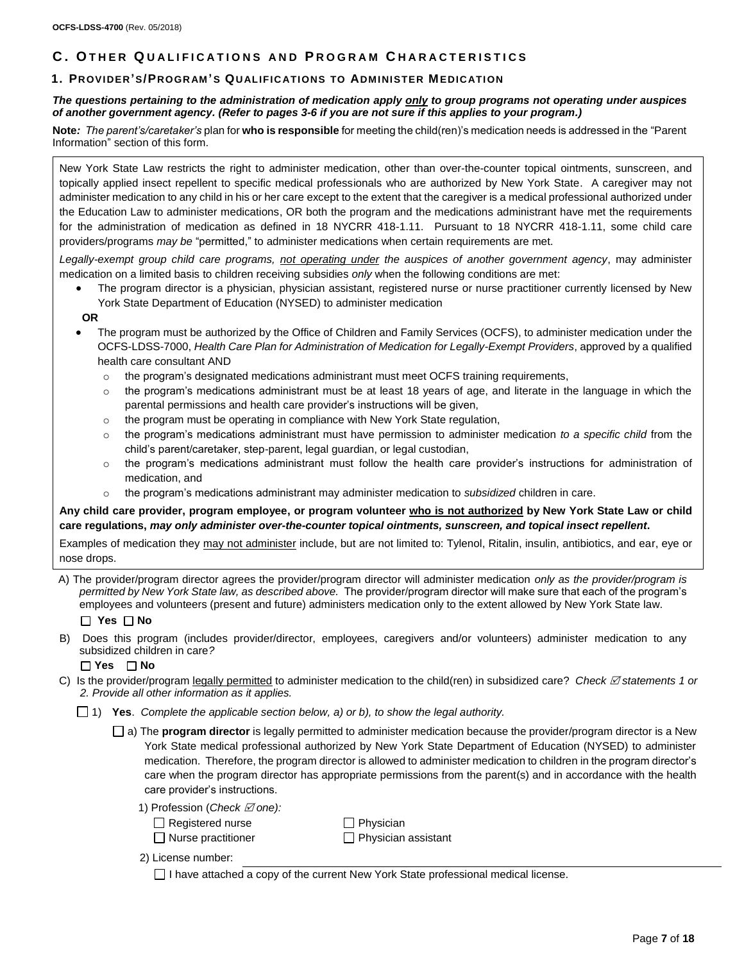# **C . O T H E R Q U A L I F I C A T I O N S A N D P R O G R A M C H A R A C T E R I S T I C S**

### **1. PROVIDER'S/PROGR AM 'S QU ALIFIC ATIONS TO ADMINISTER MEDICATI ON**

#### *The questions pertaining to the administration of medication apply only to group programs not operating under auspices of another government agency. (Refer to pages 3-6 if you are not sure if this applies to your program.)*

**Note***: The parent's/caretaker's* plan for **who is responsible** for meeting the child(ren)'s medication needs is addressed in the "Parent Information" section of this form.

New York State Law restricts the right to administer medication, other than over-the-counter topical ointments, sunscreen, and topically applied insect repellent to specific medical professionals who are authorized by New York State. A caregiver may not administer medication to any child in his or her care except to the extent that the caregiver is a medical professional authorized under the Education Law to administer medications, OR both the program and the medications administrant have met the requirements for the administration of medication as defined in 18 NYCRR 418-1.11. Pursuant to 18 NYCRR 418-1.11, some child care providers/programs *may be* "permitted," to administer medications when certain requirements are met.

*Legally-exempt group child care programs, not operating under the auspices of another government agency*, may administer medication on a limited basis to children receiving subsidies *only* when the following conditions are met:

• The program director is a physician, physician assistant, registered nurse or nurse practitioner currently licensed by New York State Department of Education (NYSED) to administer medication

#### **OR**

- The program must be authorized by the Office of Children and Family Services (OCFS), to administer medication under the OCFS-LDSS-7000, *Health Care Plan for Administration of Medication for Legally-Exempt Providers*, approved by a qualified health care consultant AND
	- $\circ$  the program's designated medications administrant must meet OCFS training requirements,
	- $\circ$  the program's medications administrant must be at least 18 years of age, and literate in the language in which the parental permissions and health care provider's instructions will be given,
	- $\circ$  the program must be operating in compliance with New York State regulation,
	- o the program's medications administrant must have permission to administer medication *to a specific child* from the child's parent/caretaker, step-parent, legal guardian, or legal custodian,
	- $\circ$  the program's medications administrant must follow the health care provider's instructions for administration of medication, and
	- o the program's medications administrant may administer medication to *subsidized* children in care.

**Any child care provider, program employee, or program volunteer who is not authorized by New York State Law or child care regulations,** *may only administer over-the-counter topical ointments, sunscreen, and topical insect repellent***.** 

Examples of medication they may not administer include, but are not limited to: Tylenol, Ritalin, insulin, antibiotics, and ear, eye or nose drops.

A) The provider/program director agrees the provider/program director will administer medication *only as the provider/program is permitted by New York State law, as described above.* The provider/program director will make sure that each of the program's employees and volunteers (present and future) administers medication only to the extent allowed by New York State law.

#### **Yes No**

B) Does this program (includes provider/director, employees, caregivers and/or volunteers) administer medication to any subsidized children in care*?* 

#### **Yes No**

- C) Is the provider/program legally permitted to administer medication to the child(ren) in subsidized care? Check  $\varnothing$  statements 1 or *2. Provide all other information as it applies.*
	- 1) **Yes**. *Complete the applicable section below, a) or b), to show the legal authority.*
		- a) The **program director** is legally permitted to administer medication because the provider/program director is a New York State medical professional authorized by New York State Department of Education (NYSED) to administer medication. Therefore, the program director is allowed to administer medication to children in the program director's care when the program director has appropriate permissions from the parent(s) and in accordance with the health care provider's instructions.
			- 1) Profession (*Check*  $\boxtimes$  one):
				- □ Registered nurse □ Nurse practitioner

□ Physician  $\Box$  Physician assistant

- 2) License number:
	- $\Box$  I have attached a copy of the current New York State professional medical license.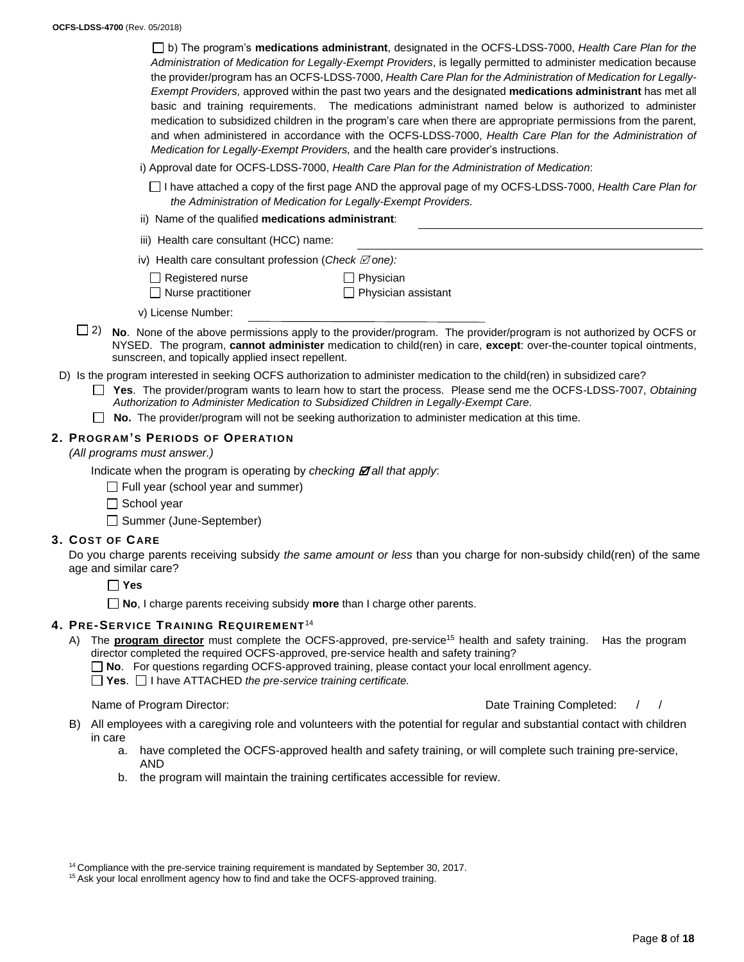b) The program's **medications administrant**, designated in the OCFS-LDSS-7000, *Health Care Plan for the Administration of Medication for Legally-Exempt Providers*, is legally permitted to administer medication because the provider/program has an OCFS-LDSS-7000, *Health Care Plan for the Administration of Medication for Legally-Exempt Providers,* approved within the past two years and the designated **medications administrant** has met all basic and training requirements. The medications administrant named below is authorized to administer medication to subsidized children in the program's care when there are appropriate permissions from the parent, and when administered in accordance with the OCFS-LDSS-7000, *Health Care Plan for the Administration of Medication for Legally-Exempt Providers,* and the health care provider's instructions.

- i) Approval date for OCFS-LDSS-7000, *Health Care Plan for the Administration of Medication*:
	- I have attached a copy of the first page AND the approval page of my OCFS-LDSS-7000, *Health Care Plan for the Administration of Medication for Legally-Exempt Providers.*
- ii) Name of the qualified **medications administrant**:
- iii) Health care consultant (HCC) name:
- iv) Health care consultant profession (Check  $\boxtimes$  one):
	- $\Box$  Registered nurse □ Nurse practitioner

 $\Box$  Physician **Physician assistant** 

- v) License Number:
- $\Box$  2) No. None of the above permissions apply to the provider/program. The provider/program is not authorized by OCFS or NYSED. The program, **cannot administer** medication to child(ren) in care, **except**: over-the-counter topical ointments, sunscreen, and topically applied insect repellent.
- D) Is the program interested in seeking OCFS authorization to administer medication to the child(ren) in subsidized care?
	- **Yes**. The provider/program wants to learn how to start the process. Please send me the OCFS-LDSS-7007, *Obtaining Authorization to Administer Medication to Subsidized Children in Legally-Exempt Care*.
	- **No.** The provider/program will not be seeking authorization to administer medication at this time.

### **2. PROGR AM 'S PERIODS OF OPER ATION**

#### *(All programs must answer.)*

Indicate when the program is operating by *checking*  $\mathbb{Z}$  all that apply:

- $\Box$  Full year (school year and summer)
- $\Box$  School vear
- □ Summer (June-September)

#### **3. COST OF CARE**

Do you charge parents receiving subsidy *the same amount or less* than you charge for non-subsidy child(ren) of the same age and similar care?

**Yes**

**No**, I charge parents receiving subsidy **more** than I charge other parents.

#### **4. PRE-SERVICE TR AI NING REQUIREMENT**<sup>14</sup>

- A) The **program director** must complete the OCFS-approved, pre-service<sup>15</sup> health and safety training. Has the program director completed the required OCFS-approved, pre-service health and safety training?
	- **No**. For questions regarding OCFS-approved training, please contact your local enrollment agency.
	- **Yes**. I have ATTACHED *the pre-service training certificate.*

#### Name of Program Director:  $\sqrt{2}$  /

- B) All employees with a caregiving role and volunteers with the potential for regular and substantial contact with children in care
	- a. have completed the OCFS-approved health and safety training, or will complete such training pre-service, AND
	- b. the program will maintain the training certificates accessible for review.

<sup>&</sup>lt;sup>14</sup> Compliance with the pre-service training requirement is mandated by September 30, 2017.

<sup>&</sup>lt;sup>15</sup> Ask your local enrollment agency how to find and take the OCFS-approved training.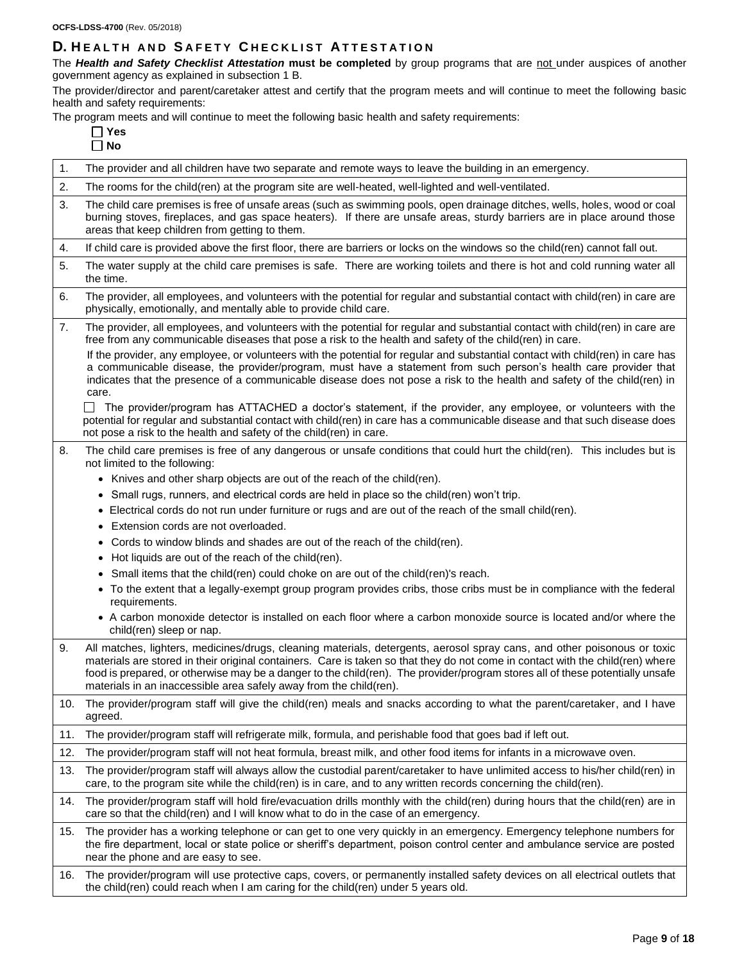# **D. H E A L T H A N D S A F E T Y C H E C K L I S T A T T E S T A T I O N**

The *Health and Safety Checklist Attestation* **must be completed** by group programs that are not under auspices of another government agency as explained in subsection 1 B.

The provider/director and parent/caretaker attest and certify that the program meets and will continue to meet the following basic health and safety requirements:

The program meets and will continue to meet the following basic health and safety requirements:

| 1.  | The provider and all children have two separate and remote ways to leave the building in an emergency.                                                                                                                                                                                                                                                                                                                                                            |
|-----|-------------------------------------------------------------------------------------------------------------------------------------------------------------------------------------------------------------------------------------------------------------------------------------------------------------------------------------------------------------------------------------------------------------------------------------------------------------------|
| 2.  | The rooms for the child(ren) at the program site are well-heated, well-lighted and well-ventilated.                                                                                                                                                                                                                                                                                                                                                               |
| 3.  | The child care premises is free of unsafe areas (such as swimming pools, open drainage ditches, wells, holes, wood or coal<br>burning stoves, fireplaces, and gas space heaters). If there are unsafe areas, sturdy barriers are in place around those<br>areas that keep children from getting to them.                                                                                                                                                          |
| 4.  | If child care is provided above the first floor, there are barriers or locks on the windows so the child(ren) cannot fall out.                                                                                                                                                                                                                                                                                                                                    |
| 5.  | The water supply at the child care premises is safe. There are working toilets and there is hot and cold running water all<br>the time.                                                                                                                                                                                                                                                                                                                           |
| 6.  | The provider, all employees, and volunteers with the potential for regular and substantial contact with child(ren) in care are<br>physically, emotionally, and mentally able to provide child care.                                                                                                                                                                                                                                                               |
| 7.  | The provider, all employees, and volunteers with the potential for regular and substantial contact with child(ren) in care are<br>free from any communicable diseases that pose a risk to the health and safety of the child(ren) in care.                                                                                                                                                                                                                        |
|     | If the provider, any employee, or volunteers with the potential for regular and substantial contact with child(ren) in care has<br>a communicable disease, the provider/program, must have a statement from such person's health care provider that<br>indicates that the presence of a communicable disease does not pose a risk to the health and safety of the child(ren) in<br>care.                                                                          |
|     | The provider/program has ATTACHED a doctor's statement, if the provider, any employee, or volunteers with the<br>potential for regular and substantial contact with child(ren) in care has a communicable disease and that such disease does<br>not pose a risk to the health and safety of the child(ren) in care.                                                                                                                                               |
| 8.  | The child care premises is free of any dangerous or unsafe conditions that could hurt the child(ren). This includes but is<br>not limited to the following:                                                                                                                                                                                                                                                                                                       |
|     | Knives and other sharp objects are out of the reach of the child(ren).                                                                                                                                                                                                                                                                                                                                                                                            |
|     | Small rugs, runners, and electrical cords are held in place so the child(ren) won't trip.                                                                                                                                                                                                                                                                                                                                                                         |
|     | Electrical cords do not run under furniture or rugs and are out of the reach of the small child(ren).<br>$\bullet$                                                                                                                                                                                                                                                                                                                                                |
|     | Extension cords are not overloaded.                                                                                                                                                                                                                                                                                                                                                                                                                               |
|     | Cords to window blinds and shades are out of the reach of the child(ren).                                                                                                                                                                                                                                                                                                                                                                                         |
|     | Hot liquids are out of the reach of the child(ren).                                                                                                                                                                                                                                                                                                                                                                                                               |
|     | Small items that the child(ren) could choke on are out of the child(ren)'s reach.                                                                                                                                                                                                                                                                                                                                                                                 |
|     | To the extent that a legally-exempt group program provides cribs, those cribs must be in compliance with the federal<br>requirements.                                                                                                                                                                                                                                                                                                                             |
|     | • A carbon monoxide detector is installed on each floor where a carbon monoxide source is located and/or where the<br>child(ren) sleep or nap.                                                                                                                                                                                                                                                                                                                    |
| 9.  | All matches, lighters, medicines/drugs, cleaning materials, detergents, aerosol spray cans, and other poisonous or toxic<br>materials are stored in their original containers. Care is taken so that they do not come in contact with the child(ren) where<br>food is prepared, or otherwise may be a danger to the child(ren). The provider/program stores all of these potentially unsafe<br>materials in an inaccessible area safely away from the child(ren). |
|     | 10. The provider/program staff will give the child(ren) meals and snacks according to what the parent/caretaker, and I have<br>agreed.                                                                                                                                                                                                                                                                                                                            |
| 11. | The provider/program staff will refrigerate milk, formula, and perishable food that goes bad if left out.                                                                                                                                                                                                                                                                                                                                                         |
| 12. | The provider/program staff will not heat formula, breast milk, and other food items for infants in a microwave oven.                                                                                                                                                                                                                                                                                                                                              |
| 13. | The provider/program staff will always allow the custodial parent/caretaker to have unlimited access to his/her child(ren) in<br>care, to the program site while the child(ren) is in care, and to any written records concerning the child(ren).                                                                                                                                                                                                                 |
| 14. | The provider/program staff will hold fire/evacuation drills monthly with the child(ren) during hours that the child(ren) are in<br>care so that the child(ren) and I will know what to do in the case of an emergency.                                                                                                                                                                                                                                            |
| 15. | The provider has a working telephone or can get to one very quickly in an emergency. Emergency telephone numbers for<br>the fire department, local or state police or sheriff's department, poison control center and ambulance service are posted<br>near the phone and are easy to see.                                                                                                                                                                         |
| 16. | The provider/program will use protective caps, covers, or permanently installed safety devices on all electrical outlets that<br>the child(ren) could reach when I am caring for the child(ren) under 5 years old.                                                                                                                                                                                                                                                |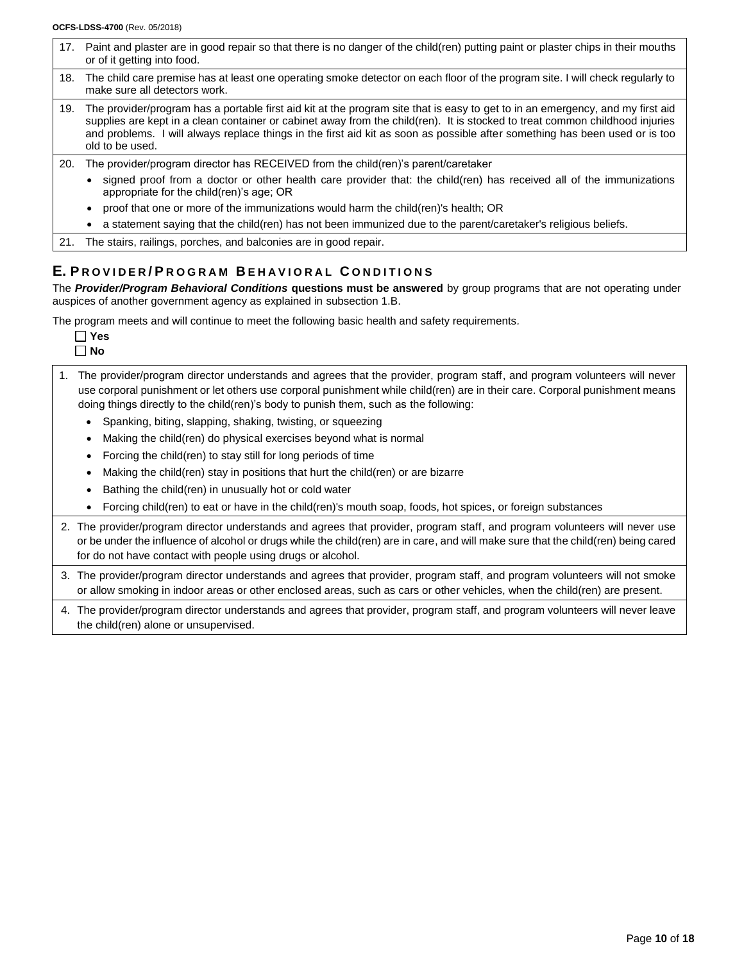|     | 17. Paint and plaster are in good repair so that there is no danger of the child(ren) putting paint or plaster chips in their mouths<br>or of it getting into food.                                                                                                                                                                                                                                                                                                        |
|-----|----------------------------------------------------------------------------------------------------------------------------------------------------------------------------------------------------------------------------------------------------------------------------------------------------------------------------------------------------------------------------------------------------------------------------------------------------------------------------|
| 18. | The child care premise has at least one operating smoke detector on each floor of the program site. I will check regularly to<br>make sure all detectors work.                                                                                                                                                                                                                                                                                                             |
| 19. | The provider/program has a portable first aid kit at the program site that is easy to get to in an emergency, and my first aid<br>supplies are kept in a clean container or cabinet away from the child(ren). It is stocked to treat common childhood injuries<br>and problems. I will always replace things in the first aid kit as soon as possible after something has been used or is too<br>old to be used.                                                           |
| 20. | The provider/program director has RECEIVED from the child(ren)'s parent/caretaker<br>signed proof from a doctor or other health care provider that: the child(ren) has received all of the immunizations<br>appropriate for the child (ren)'s age; OR<br>proof that one or more of the immunizations would harm the child(ren)'s health; OR<br>$\bullet$<br>a statement saying that the child(ren) has not been immunized due to the parent/caretaker's religious beliefs. |
|     | 21. The stairs, railings, porches, and balconies are in good repair.                                                                                                                                                                                                                                                                                                                                                                                                       |

# **E. P R O V I D E R / P R O G R A M B E H A V I O R A L C O N D I T I O N S**

The *Provider/Program Behavioral Conditions* **questions must be answered** by group programs that are not operating under auspices of another government agency as explained in subsection 1.B.

The program meets and will continue to meet the following basic health and safety requirements*.*

| ۰      |
|--------|
| ۹<br>۷ |

- 1. The provider/program director understands and agrees that the provider, program staff, and program volunteers will never use corporal punishment or let others use corporal punishment while child(ren) are in their care. Corporal punishment means doing things directly to the child(ren)'s body to punish them, such as the following:
	- Spanking, biting, slapping, shaking, twisting, or squeezing
	- Making the child(ren) do physical exercises beyond what is normal
	- Forcing the child(ren) to stay still for long periods of time
	- Making the child(ren) stay in positions that hurt the child(ren) or are bizarre
	- Bathing the child(ren) in unusually hot or cold water
	- Forcing child(ren) to eat or have in the child(ren)'s mouth soap, foods, hot spices, or foreign substances
- 2. The provider/program director understands and agrees that provider, program staff, and program volunteers will never use or be under the influence of alcohol or drugs while the child(ren) are in care, and will make sure that the child(ren) being cared for do not have contact with people using drugs or alcohol.
- 3. The provider/program director understands and agrees that provider, program staff, and program volunteers will not smoke or allow smoking in indoor areas or other enclosed areas, such as cars or other vehicles, when the child(ren) are present.
- 4. The provider/program director understands and agrees that provider, program staff, and program volunteers will never leave the child(ren) alone or unsupervised.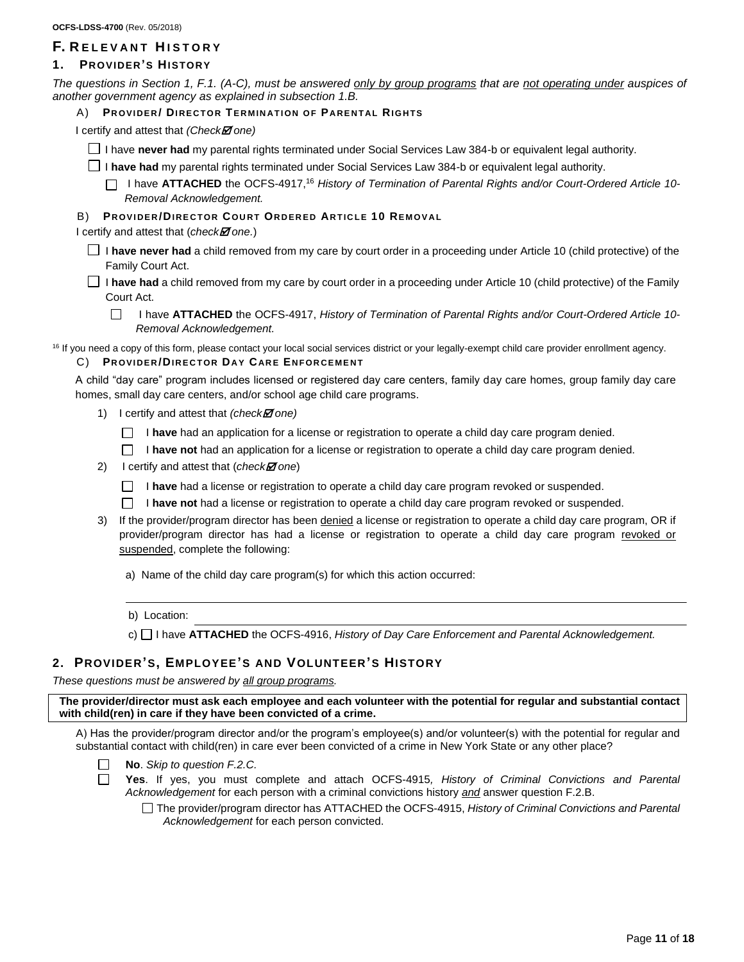# **F. R E L E V A N T H I S T O R Y**

# **1. PROVIDER'S HISTORY**

*The questions in Section 1, F.1. (A-C), must be answered only by group programs that are not operating under auspices of another government agency as explained in subsection 1.B.*

A) **PR OV I D E R / DI R E C T O R TE R M IN A T I ON O F P A R E N T A L RI GH TS** 

I certify and attest that *(Check one)*

I have **never had** my parental rights terminated under Social Services Law 384-b or equivalent legal authority.

I **have had** my parental rights terminated under Social Services Law 384-b or equivalent legal authority.

I have **ATTACHED** the OCFS-4917, <sup>16</sup> *History of Termination of Parental Rights and/or Court-Ordered Article 10- Removal Acknowledgement.*

## **B) PROVIDER/DIRECTOR COURT ORDERED ARTICLE 10 REMOVAL**

I certify and attest that (*checkM* one.)

- I **have never had** a child removed from my care by court order in a proceeding under Article 10 (child protective) of the Family Court Act.
- I **have had** a child removed from my care by court order in a proceeding under Article 10 (child protective) of the Family Court Act.
	- П I have **ATTACHED** the OCFS-4917, *History of Termination of Parental Rights and/or Court-Ordered Article 10- Removal Acknowledgement.*

<sup>16</sup> If you need a copy of this form, please contact your local social services district or your legally-exempt child care provider enrollment agency.

### C) **PR OV I D E R /DIR E C T OR DA Y CAR E EN F OR C E M E N T**

A child "day care" program includes licensed or registered day care centers, family day care homes, group family day care homes, small day care centers, and/or school age child care programs.

- 1) I certify and attest that *(checkI one)* 
	- I **have** had an application for a license or registration to operate a child day care program denied.
	- **I have not** had an application for a license or registration to operate a child day care program denied.
- 2) I certify and attest that (*check* one)
	- □ **have** had a license or registration to operate a child day care program revoked or suspended.
	- **I have not** had a license or registration to operate a child day care program revoked or suspended.
- 3) If the provider/program director has been denied a license or registration to operate a child day care program, OR if provider/program director has had a license or registration to operate a child day care program revoked or suspended, complete the following:
	- a) Name of the child day care program(s) for which this action occurred:
	- b) Location:
	- c) I have **ATTACHED** the OCFS-4916, *History of Day Care Enforcement and Parental Acknowledgement.*

# **2. PROVIDER'S, EMPLOYEE'S AND VOLUNTEER'S HISTORY**

*These questions must be answered by all group programs.*

**The provider/director must ask each employee and each volunteer with the potential for regular and substantial contact with child(ren) in care if they have been convicted of a crime.** 

A) Has the provider/program director and/or the program's employee(s) and/or volunteer(s) with the potential for regular and substantial contact with child(ren) in care ever been convicted of a crime in New York State or any other place?

- **No**. *Skip to question F.2.C.*
- $\Box$
- **Yes**. If yes, you must complete and attach OCFS-4915*, History of Criminal Convictions and Parental Acknowledgement* for each person with a criminal convictions history *and* answer question F.2.B.

The provider/program director has ATTACHED the OCFS-4915, *History of Criminal Convictions and Parental Acknowledgement* for each person convicted.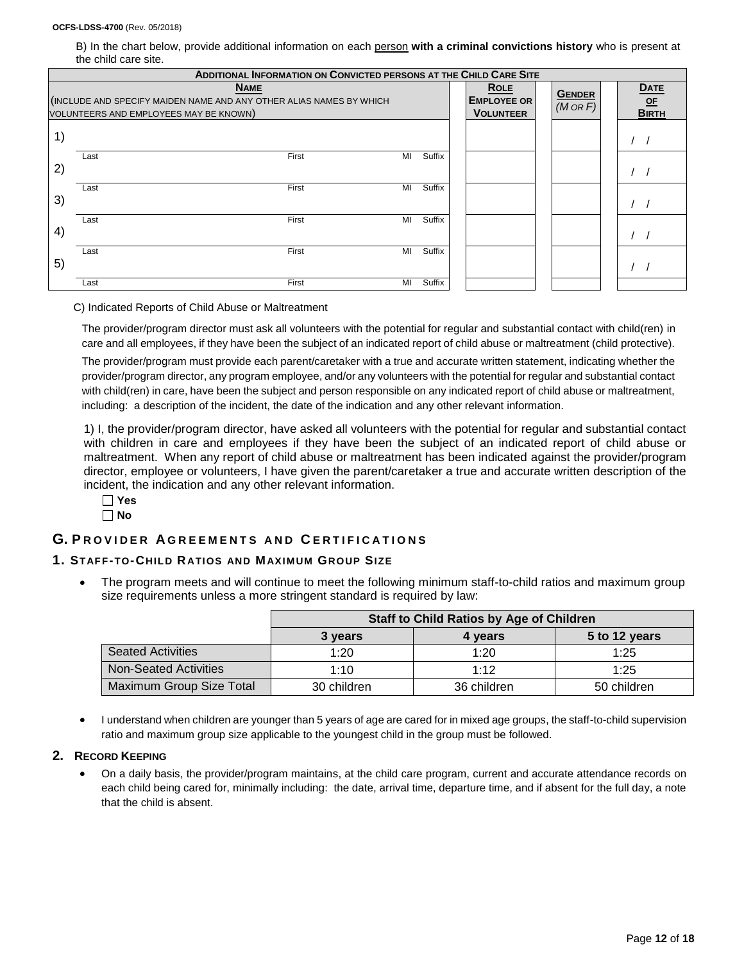B) In the chart below, provide additional information on each person **with a criminal convictions history** who is present at the child care site.

|                                                | <b>ADDITIONAL INFORMATION ON CONVICTED PERSONS AT THE CHILD CARE SITE</b>                                                    |    |        |  |                                                       |  |                                |                                     |
|------------------------------------------------|------------------------------------------------------------------------------------------------------------------------------|----|--------|--|-------------------------------------------------------|--|--------------------------------|-------------------------------------|
|                                                | <b>NAME</b><br>(INCLUDE AND SPECIFY MAIDEN NAME AND ANY OTHER ALIAS NAMES BY WHICH<br>VOLUNTEERS AND EMPLOYEES MAY BE KNOWN) |    |        |  | <b>ROLE</b><br><b>EMPLOYEE OR</b><br><b>VOLUNTEER</b> |  | <b>GENDER</b><br>$(M \circ R)$ | <b>DATE</b><br>$OF$<br><b>BIRTH</b> |
| $\left( \begin{matrix} 1 \end{matrix} \right)$ |                                                                                                                              |    |        |  |                                                       |  |                                |                                     |
| 2)                                             | First<br>Last                                                                                                                | MI | Suffix |  |                                                       |  |                                |                                     |
| 3)                                             | First<br>Last                                                                                                                | MI | Suffix |  |                                                       |  |                                |                                     |
| 4)                                             | First<br>Last                                                                                                                | MI | Suffix |  |                                                       |  |                                |                                     |
| 5)                                             | First<br>Last                                                                                                                | MI | Suffix |  |                                                       |  |                                |                                     |
|                                                | First<br>Last                                                                                                                | MI | Suffix |  |                                                       |  |                                |                                     |

#### C) Indicated Reports of Child Abuse or Maltreatment

The provider/program director must ask all volunteers with the potential for regular and substantial contact with child(ren) in care and all employees, if they have been the subject of an indicated report of child abuse or maltreatment (child protective).

The provider/program must provide each parent/caretaker with a true and accurate written statement, indicating whether the provider/program director, any program employee, and/or any volunteers with the potential for regular and substantial contact with child(ren) in care, have been the subject and person responsible on any indicated report of child abuse or maltreatment, including: a description of the incident, the date of the indication and any other relevant information.

1) I, the provider/program director, have asked all volunteers with the potential for regular and substantial contact with children in care and employees if they have been the subject of an indicated report of child abuse or maltreatment. When any report of child abuse or maltreatment has been indicated against the provider/program director, employee or volunteers, I have given the parent/caretaker a true and accurate written description of the incident, the indication and any other relevant information.

#### **Yes No**

# **G. P R O V I D E R A G R E E M E N T S A N D C E R T I F I C A T I O N S**

#### **1. STAFF-TO-CHILD RATIOS AND MAXIMUM GROUP SIZE**

• The program meets and will continue to meet the following minimum staff-to-child ratios and maximum group size requirements unless a more stringent standard is required by law:

|                              | <b>Staff to Child Ratios by Age of Children</b> |             |               |  |  |  |
|------------------------------|-------------------------------------------------|-------------|---------------|--|--|--|
|                              | 3 years                                         | 4 years     | 5 to 12 years |  |  |  |
| <b>Seated Activities</b>     | 1:20                                            | 1:20        | 1:25          |  |  |  |
| <b>Non-Seated Activities</b> | 1:10                                            | 1.12        | 1:25          |  |  |  |
| Maximum Group Size Total     | 30 children                                     | 36 children | 50 children   |  |  |  |

• I understand when children are younger than 5 years of age are cared for in mixed age groups, the staff-to-child supervision ratio and maximum group size applicable to the youngest child in the group must be followed.

#### **2. RECORD KEEPING**

• On a daily basis, the provider/program maintains, at the child care program, current and accurate attendance records on each child being cared for, minimally including: the date, arrival time, departure time, and if absent for the full day, a note that the child is absent.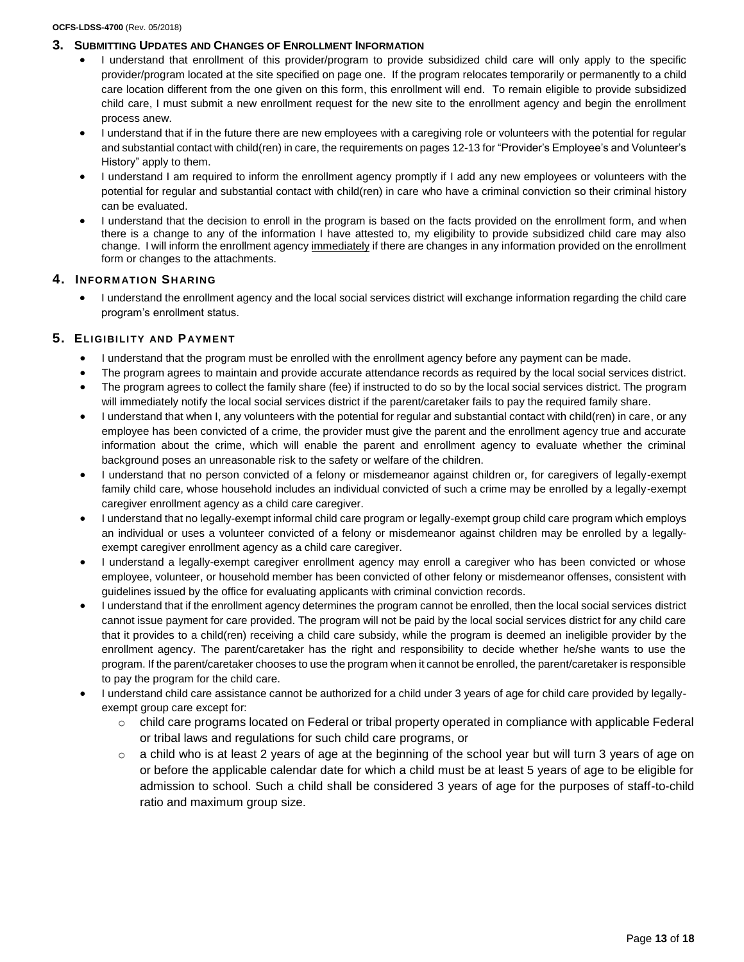### **3. SUBMITTING UPDATES AND CHANGES OF ENROLLMENT INFORMATION**

- I understand that enrollment of this provider/program to provide subsidized child care will only apply to the specific provider/program located at the site specified on page one. If the program relocates temporarily or permanently to a child care location different from the one given on this form, this enrollment will end. To remain eligible to provide subsidized child care, I must submit a new enrollment request for the new site to the enrollment agency and begin the enrollment process anew.
- I understand that if in the future there are new employees with a caregiving role or volunteers with the potential for regular and substantial contact with child(ren) in care, the requirements on pages 12-13 for "Provider's Employee's and Volunteer's History" apply to them.
- I understand I am required to inform the enrollment agency promptly if I add any new employees or volunteers with the potential for regular and substantial contact with child(ren) in care who have a criminal conviction so their criminal history can be evaluated.
- I understand that the decision to enroll in the program is based on the facts provided on the enrollment form, and when there is a change to any of the information I have attested to, my eligibility to provide subsidized child care may also change. I will inform the enrollment agency immediately if there are changes in any information provided on the enrollment form or changes to the attachments.

# **4. INFORM ATION SH ARING**

• I understand the enrollment agency and the local social services district will exchange information regarding the child care program's enrollment status.

# **5. ELIGIBILI TY AND PAYMENT**

- I understand that the program must be enrolled with the enrollment agency before any payment can be made.
- The program agrees to maintain and provide accurate attendance records as required by the local social services district. • The program agrees to collect the family share (fee) if instructed to do so by the local social services district. The program
- will immediately notify the local social services district if the parent/caretaker fails to pay the required family share. • I understand that when I, any volunteers with the potential for regular and substantial contact with child(ren) in care, or any employee has been convicted of a crime, the provider must give the parent and the enrollment agency true and accurate information about the crime, which will enable the parent and enrollment agency to evaluate whether the criminal background poses an unreasonable risk to the safety or welfare of the children.
- I understand that no person convicted of a felony or misdemeanor against children or, for caregivers of legally-exempt family child care, whose household includes an individual convicted of such a crime may be enrolled by a legally-exempt caregiver enrollment agency as a child care caregiver.
- I understand that no legally-exempt informal child care program or legally-exempt group child care program which employs an individual or uses a volunteer convicted of a felony or misdemeanor against children may be enrolled by a legallyexempt caregiver enrollment agency as a child care caregiver.
- I understand a legally-exempt caregiver enrollment agency may enroll a caregiver who has been convicted or whose employee, volunteer, or household member has been convicted of other felony or misdemeanor offenses, consistent with guidelines issued by the office for evaluating applicants with criminal conviction records.
- I understand that if the enrollment agency determines the program cannot be enrolled, then the local social services district cannot issue payment for care provided. The program will not be paid by the local social services district for any child care that it provides to a child(ren) receiving a child care subsidy, while the program is deemed an ineligible provider by the enrollment agency. The parent/caretaker has the right and responsibility to decide whether he/she wants to use the program. If the parent/caretaker chooses to use the program when it cannot be enrolled, the parent/caretaker is responsible to pay the program for the child care.
- I understand child care assistance cannot be authorized for a child under 3 years of age for child care provided by legallyexempt group care except for:
	- o child care programs located on Federal or tribal property operated in compliance with applicable Federal or tribal laws and regulations for such child care programs, or
	- $\circ$  a child who is at least 2 years of age at the beginning of the school year but will turn 3 years of age on or before the applicable calendar date for which a child must be at least 5 years of age to be eligible for admission to school. Such a child shall be considered 3 years of age for the purposes of staff-to-child ratio and maximum group size.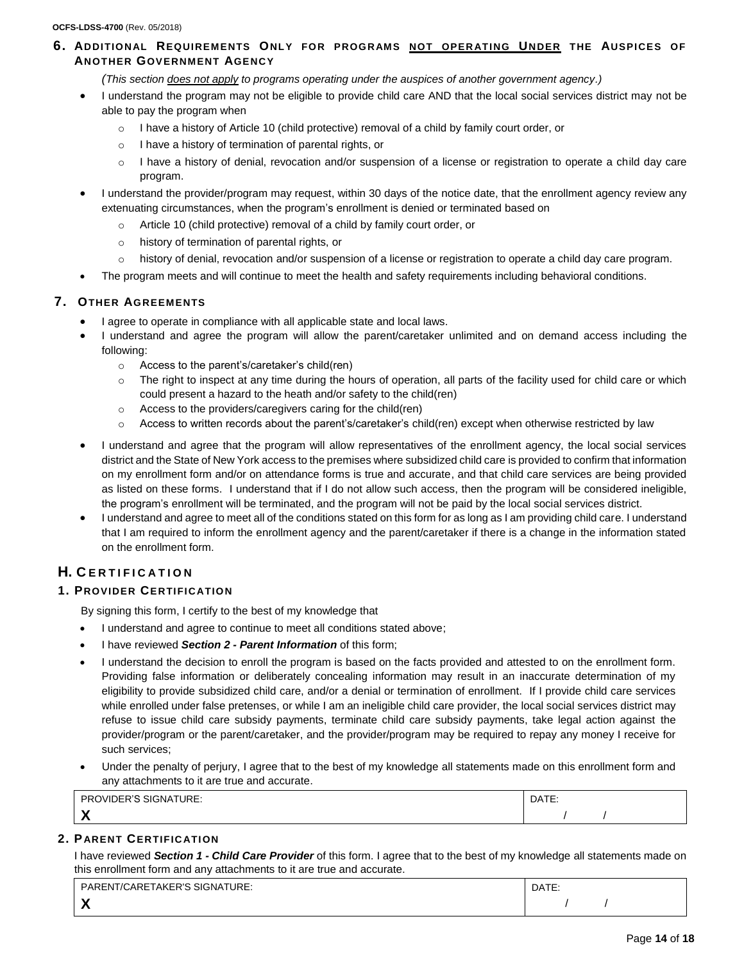# **6. ADDI TION AL REQUIREMENTS ONLY FOR PROGR AMS NOT OPER ATI NG UNDER THE AUSPICES OF ANOTHER GOVERNMENT AGENCY**

*(This section does not apply to programs operating under the auspices of another government agency.)*

- I understand the program may not be eligible to provide child care AND that the local social services district may not be able to pay the program when
	- o I have a history of Article 10 (child protective) removal of a child by family court order, or
	- o I have a history of termination of parental rights, or
	- o I have a history of denial, revocation and/or suspension of a license or registration to operate a child day care program.
- I understand the provider/program may request, within 30 days of the notice date, that the enrollment agency review any extenuating circumstances, when the program's enrollment is denied or terminated based on
	- o Article 10 (child protective) removal of a child by family court order, or
	- o history of termination of parental rights, or
	- o history of denial, revocation and/or suspension of a license or registration to operate a child day care program.
- The program meets and will continue to meet the health and safety requirements including behavioral conditions.

# **7. OTHER AGREEMENTS**

- I agree to operate in compliance with all applicable state and local laws.
- I understand and agree the program will allow the parent/caretaker unlimited and on demand access including the following:
	- o Access to the parent's/caretaker's child(ren)
	- $\circ$  The right to inspect at any time during the hours of operation, all parts of the facility used for child care or which could present a hazard to the heath and/or safety to the child(ren)
	- o Access to the providers/caregivers caring for the child(ren)
	- $\circ$  Access to written records about the parent's/caretaker's child(ren) except when otherwise restricted by law
- I understand and agree that the program will allow representatives of the enrollment agency, the local social services district and the State of New York access to the premises where subsidized child care is provided to confirm that information on my enrollment form and/or on attendance forms is true and accurate, and that child care services are being provided as listed on these forms. I understand that if I do not allow such access, then the program will be considered ineligible, the program's enrollment will be terminated, and the program will not be paid by the local social services district.
- I understand and agree to meet all of the conditions stated on this form for as long as I am providing child care. I understand that I am required to inform the enrollment agency and the parent/caretaker if there is a change in the information stated on the enrollment form.

# **H. C E R T I F I C A T I O N**

# **1. PROVIDER CERTIFIC ATION**

By signing this form, I certify to the best of my knowledge that

- I understand and agree to continue to meet all conditions stated above;
- I have reviewed *Section 2 - Parent Information* of this form;
- I understand the decision to enroll the program is based on the facts provided and attested to on the enrollment form. Providing false information or deliberately concealing information may result in an inaccurate determination of my eligibility to provide subsidized child care, and/or a denial or termination of enrollment. If I provide child care services while enrolled under false pretenses, or while I am an ineligible child care provider, the local social services district may refuse to issue child care subsidy payments, terminate child care subsidy payments, take legal action against the provider/program or the parent/caretaker, and the provider/program may be required to repay any money I receive for such services;
- Under the penalty of perjury, I agree that to the best of my knowledge all statements made on this enrollment form and any attachments to it are true and accurate.

| PROVIDER'S                 | DATE: |
|----------------------------|-------|
| SIGNATURE:                 |       |
| $\boldsymbol{\mathcal{L}}$ |       |

# **2. P ARENT CERTIFIC ATI ON**

I have reviewed *Section 1 - Child Care Provider* of this form. I agree that to the best of my knowledge all statements made on this enrollment form and any attachments to it are true and accurate.

| PARENT/CARETAKER'S SIGNATURE:          | DATE. |  |  |
|----------------------------------------|-------|--|--|
| <b>W</b><br>$\boldsymbol{\mathcal{L}}$ |       |  |  |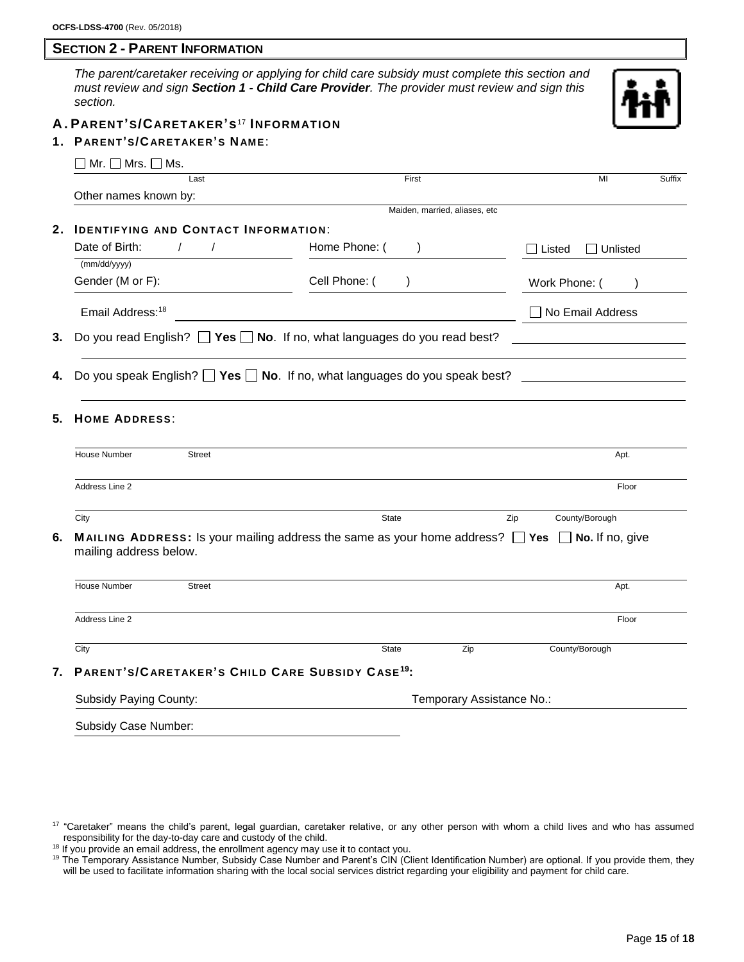# **SECTION 2 - PARENT INFORMATION**

*The parent/caretaker receiving or applying for child care subsidy must complete this section and must review and sign Section 1 - Child Care Provider. The provider must review and sign this section.*



### **A . PARENT'S/CARETAKER's**<sup>17</sup> **INFORMATION**

### **1. P ARENT'S/CARETAKER'S NAME**:

| Mr. $\Box$ Mrs. $\Box$ Ms.                                         |                                                                                                                  |                           |  |  |  |  |  |  |  |
|--------------------------------------------------------------------|------------------------------------------------------------------------------------------------------------------|---------------------------|--|--|--|--|--|--|--|
| Last                                                               | First                                                                                                            | MI<br>Suffix              |  |  |  |  |  |  |  |
| Other names known by:                                              |                                                                                                                  |                           |  |  |  |  |  |  |  |
|                                                                    | Maiden, married, aliases, etc                                                                                    |                           |  |  |  |  |  |  |  |
| 2.                                                                 | <b>IDENTIFYING AND CONTACT INFORMATION:</b>                                                                      |                           |  |  |  |  |  |  |  |
| Date of Birth:<br>$\sqrt{2}$                                       | Home Phone: (<br>$\lambda$                                                                                       | $\Box$ Unlisted<br>Listed |  |  |  |  |  |  |  |
| (mm/dd/yyyy)                                                       |                                                                                                                  |                           |  |  |  |  |  |  |  |
| Gender (M or F):                                                   | Cell Phone: (<br>$\lambda$                                                                                       | Work Phone: (             |  |  |  |  |  |  |  |
| Email Address: <sup>18</sup>                                       |                                                                                                                  | No Email Address          |  |  |  |  |  |  |  |
| 3.                                                                 | Do you read English? $\Box$ Yes $\Box$ No. If no, what languages do you read best?                               |                           |  |  |  |  |  |  |  |
| 4.                                                                 | Do you speak English? $\Box$ Yes $\Box$ No. If no, what languages do you speak best?                             |                           |  |  |  |  |  |  |  |
| 5.<br><b>HOME ADDRESS:</b><br>House Number<br><b>Street</b>        |                                                                                                                  | Apt.                      |  |  |  |  |  |  |  |
| Address Line 2                                                     |                                                                                                                  | Floor                     |  |  |  |  |  |  |  |
| City                                                               | State                                                                                                            | County/Borough<br>Zip     |  |  |  |  |  |  |  |
| 6.<br>mailing address below.                                       | <b>MAILING ADDRESS:</b> Is your mailing address the same as your home address? $\Box$ Yes $\Box$ No. If no, give |                           |  |  |  |  |  |  |  |
| House Number<br><b>Street</b>                                      |                                                                                                                  | Apt.                      |  |  |  |  |  |  |  |
|                                                                    |                                                                                                                  |                           |  |  |  |  |  |  |  |
| Address Line 2                                                     |                                                                                                                  | Floor                     |  |  |  |  |  |  |  |
| City                                                               | State<br>Zip                                                                                                     | County/Borough            |  |  |  |  |  |  |  |
| PARENT'S/CARETAKER'S CHILD CARE SUBSIDY CASE <sup>19</sup> :<br>7. |                                                                                                                  |                           |  |  |  |  |  |  |  |

Subsidy Case Number:

<sup>&</sup>lt;sup>17</sup> "Caretaker" means the child's parent, legal guardian, caretaker relative, or any other person with whom a child lives and who has assumed responsibility for the day-to-day care and custody of the child.

<sup>&</sup>lt;sup>18</sup> If you provide an email address, the enrollment agency may use it to contact you.

<sup>&</sup>lt;sup>19</sup> The Temporary Assistance Number, Subsidy Case Number and Parent's CIN (Client Identification Number) are optional. If you provide them, they will be used to facilitate information sharing with the local social services district regarding your eligibility and payment for child care.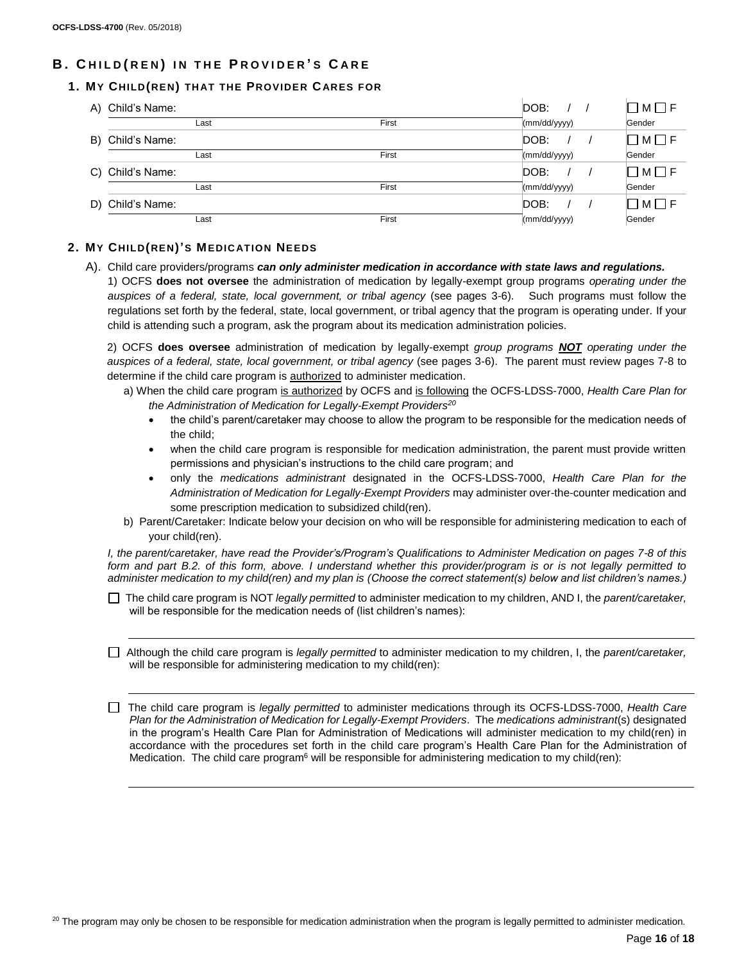# **B . C H I L D ( R E N ) I N T H E P R O V I D E R ' S C A R E**

# **1. MY CHILD(REN) TH AT THE PROVIDER CARES FOR**

| A) Child's Name: |       | DOB:                       |  | $\Box$ M $\Box$ F       |
|------------------|-------|----------------------------|--|-------------------------|
| Last             | First | (mm/dd/yyyy)               |  | Gender                  |
| B) Child's Name: |       | DOB:                       |  | □M□F                    |
| Last             | First | $\frac{1}{2}$ (mm/dd/yyyy) |  | Gender                  |
| C) Child's Name: |       | DOB:                       |  | $\square$ M $\square$ F |
| Last             | First | $\frac{1}{2}$ (mm/dd/yyyy) |  | Gender                  |
| D) Child's Name: |       | DOB:                       |  | $\Box$ M $\Box$ F       |
| Last             | First | (mm/dd/yyyy)               |  | Gender                  |

# **2. MY CHILD(REN)'S MEDIC ATION NEEDS**

A). Child care providers/programs *can only administer medication in accordance with state laws and regulations.* 1) OCFS **does not oversee** the administration of medication by legally-exempt group programs *operating under the auspices of a federal, state, local government, or tribal agency* (see pages 3-6). Such programs must follow the regulations set forth by the federal, state, local government, or tribal agency that the program is operating under. If your child is attending such a program, ask the program about its medication administration policies.

2) OCFS **does oversee** administration of medication by legally-exempt *group programs NOT operating under the auspices of a federal, state, local government, or tribal agency* (see pages 3-6). The parent must review pages 7-8 to determine if the child care program is authorized to administer medication.

a) When the child care program is authorized by OCFS and is following the OCFS-LDSS-7000, *Health Care Plan for the Administration of Medication for Legally-Exempt Providers<sup>20</sup>*

- the child's parent/caretaker may choose to allow the program to be responsible for the medication needs of the child;
- when the child care program is responsible for medication administration, the parent must provide written permissions and physician's instructions to the child care program; and
- only the *medications administrant* designated in the OCFS-LDSS-7000, *Health Care Plan for the Administration of Medication for Legally-Exempt Providers* may administer over-the-counter medication and some prescription medication to subsidized child(ren).
- b) Parent/Caretaker: Indicate below your decision on who will be responsible for administering medication to each of your child(ren).

*I, the parent/caretaker, have read the Provider's/Program's Qualifications to Administer Medication on pages 7-8 of this form and part B.2. of this form, above. I understand whether this provider/program is or is not legally permitted to administer medication to my child(ren) and my plan is (Choose the correct statement(s) below and list children's names.)*

- The child care program is NOT *legally permitted* to administer medication to my children, AND I, the *parent/caretaker,* will be responsible for the medication needs of (list children's names):
- Although the child care program is *legally permitted* to administer medication to my children, I, the *parent/caretaker,* will be responsible for administering medication to my child(ren):

 The child care program is *legally permitted* to administer medications through its OCFS-LDSS-7000, *Health Care Plan for the Administration of Medication for Legally-Exempt Providers*. The *medications administrant*(s) designated in the program's Health Care Plan for Administration of Medications will administer medication to my child(ren) in accordance with the procedures set forth in the child care program's Health Care Plan for the Administration of Medication. The child care program<sup>6</sup> will be responsible for administering medication to my child(ren):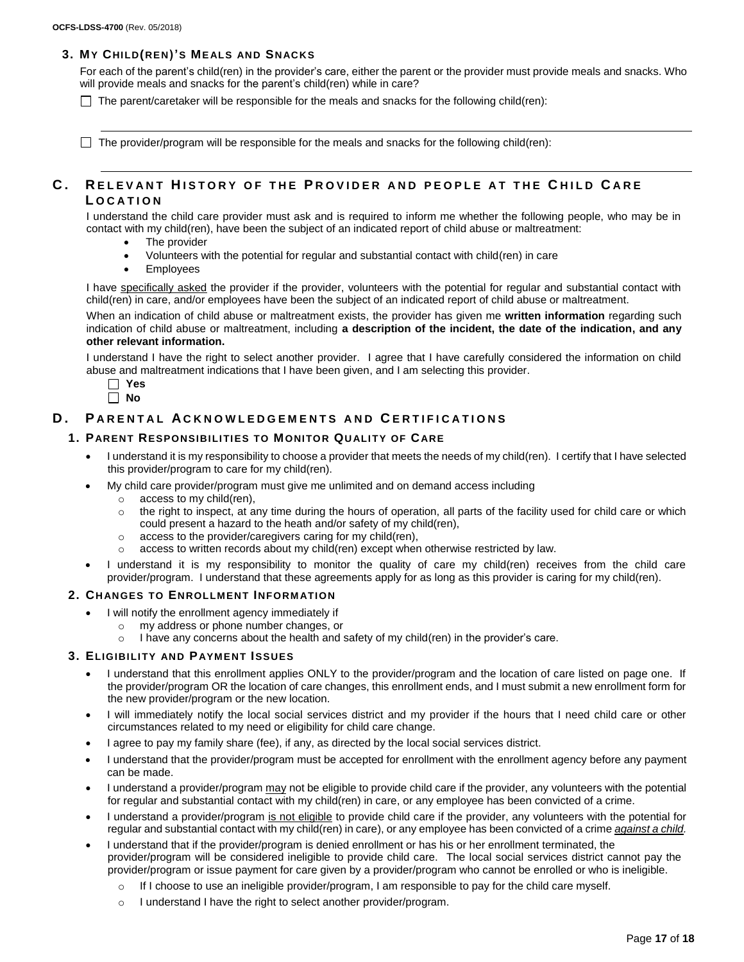# **3. MY CHILD(REN)'S MEALS AND SN ACKS**

For each of the parent's child(ren) in the provider's care, either the parent or the provider must provide meals and snacks. Who will provide meals and snacks for the parent's child(ren) while in care?

 $\Box$  The parent/caretaker will be responsible for the meals and snacks for the following child(ren):

 $\Box$  The provider/program will be responsible for the meals and snacks for the following child(ren):

# **C . R E L E V A N T H I S T O R Y O F T H E P R O V I D E R A N D P E O P L E A T T H E C H I L D C A R E L O C A T I O N**

I understand the child care provider must ask and is required to inform me whether the following people, who may be in contact with my child(ren), have been the subject of an indicated report of child abuse or maltreatment:

- The provider
- Volunteers with the potential for regular and substantial contact with child(ren) in care
- Employees

I have specifically asked the provider if the provider, volunteers with the potential for regular and substantial contact with child(ren) in care, and/or employees have been the subject of an indicated report of child abuse or maltreatment.

When an indication of child abuse or maltreatment exists, the provider has given me **written information** regarding such indication of child abuse or maltreatment, including **a description of the incident, the date of the indication, and any other relevant information.**

I understand I have the right to select another provider. I agree that I have carefully considered the information on child abuse and maltreatment indications that I have been given, and I am selecting this provider.



# **D.** PARENTAL ACKNOWLEDGEMENTS AND CERTIFICATIONS

#### **1. PARENT RESPONSIBILI TI ES TO MONITOR QU ALI TY OF CARE**

- I understand it is my responsibility to choose a provider that meets the needs of my child(ren). I certify that I have selected this provider/program to care for my child(ren).
- My child care provider/program must give me unlimited and on demand access including
	- o access to my child(ren),
	- $\circ$  the right to inspect, at any time during the hours of operation, all parts of the facility used for child care or which could present a hazard to the heath and/or safety of my child(ren),
	- o access to the provider/caregivers caring for my child(ren),
	- $\circ$  access to written records about my child(ren) except when otherwise restricted by law.
- I understand it is my responsibility to monitor the quality of care my child(ren) receives from the child care provider/program. I understand that these agreements apply for as long as this provider is caring for my child(ren).

#### **2. CH ANGES TO ENROLLMENT INFORM ATI ON**

- I will notify the enrollment agency immediately if
	- o my address or phone number changes, or
	- $\circ$  I have any concerns about the health and safety of my child(ren) in the provider's care.

### **3. ELIGIBILI TY AND PAYMENT ISSUES**

- I understand that this enrollment applies ONLY to the provider/program and the location of care listed on page one. If the provider/program OR the location of care changes, this enrollment ends, and I must submit a new enrollment form for the new provider/program or the new location.
- I will immediately notify the local social services district and my provider if the hours that I need child care or other circumstances related to my need or eligibility for child care change.
- I agree to pay my family share (fee), if any, as directed by the local social services district.
- I understand that the provider/program must be accepted for enrollment with the enrollment agency before any payment can be made.
- I understand a provider/program may not be eligible to provide child care if the provider, any volunteers with the potential for regular and substantial contact with my child(ren) in care, or any employee has been convicted of a crime.
- I understand a provider/program is not eligible to provide child care if the provider, any volunteers with the potential for regular and substantial contact with my child(ren) in care), or any employee has been convicted of a crime *against a child.*
- I understand that if the provider/program is denied enrollment or has his or her enrollment terminated, the provider/program will be considered ineligible to provide child care. The local social services district cannot pay the provider/program or issue payment for care given by a provider/program who cannot be enrolled or who is ineligible.
	- o If I choose to use an ineligible provider/program, I am responsible to pay for the child care myself.
	- o I understand I have the right to select another provider/program.